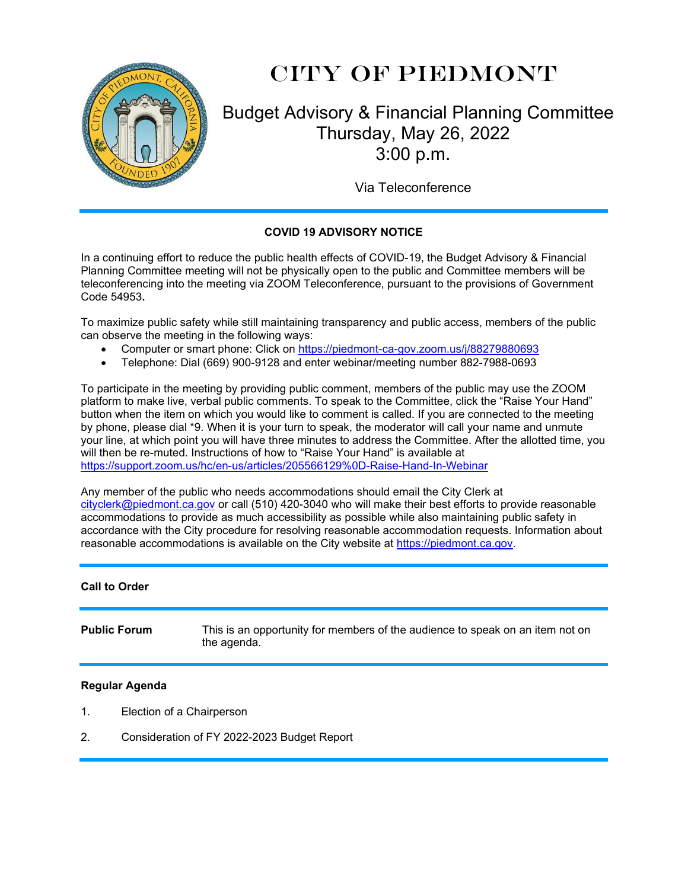

# City of Piedmont

## Budget Advisory & Financial Planning Committee Thursday, May 26, 2022 3:00 p.m.

Via Teleconference

### **COVID 19 ADVISORY NOTICE**

In a continuing effort to reduce the public health effects of COVID-19, the Budget Advisory & Financial Planning Committee meeting will not be physically open to the public and Committee members will be teleconferencing into the meeting via ZOOM Teleconference, pursuant to the provisions of Government Code 54953**.**

To maximize public safety while still maintaining transparency and public access, members of the public can observe the meeting in the following ways:

- Computer or smart phone: Click on https://piedmont-ca-gov.zoom.us/j/88279880693
- Telephone: Dial (669) 900-9128 and enter webinar/meeting number 882-7988-0693

To participate in the meeting by providing public comment, members of the public may use the ZOOM platform to make live, verbal public comments. To speak to the Committee, click the "Raise Your Hand" button when the item on which you would like to comment is called. If you are connected to the meeting by phone, please dial \*9. When it is your turn to speak, the moderator will call your name and unmute your line, at which point you will have three minutes to address the Committee. After the allotted time, you will then be re-muted. Instructions of how to "Raise Your Hand" is available at <https://support.zoom.us/hc/en-us/articles/205566129%0D-Raise-Hand-In-Webinar>

Any member of the public who needs accommodations should email the City Clerk at [cityclerk@piedmont.ca.gov](mailto:cityclerk@piedmont.ca.gov) or call (510) 420-3040 who will make their best efforts to provide reasonable accommodations to provide as much accessibility as possible while also maintaining public safety in accordance with the City procedure for resolving reasonable accommodation requests. Information about reasonable accommodations is available on the City website at [https://piedmont.ca.gov.](https://piedmont.ca.gov/)

#### **Call to Order**

**Public Forum** This is an opportunity for members of the audience to speak on an item not on the agenda.

#### **Regular Agenda**

- 1. Election of a Chairperson
- 2. Consideration of FY 2022-2023 Budget Report